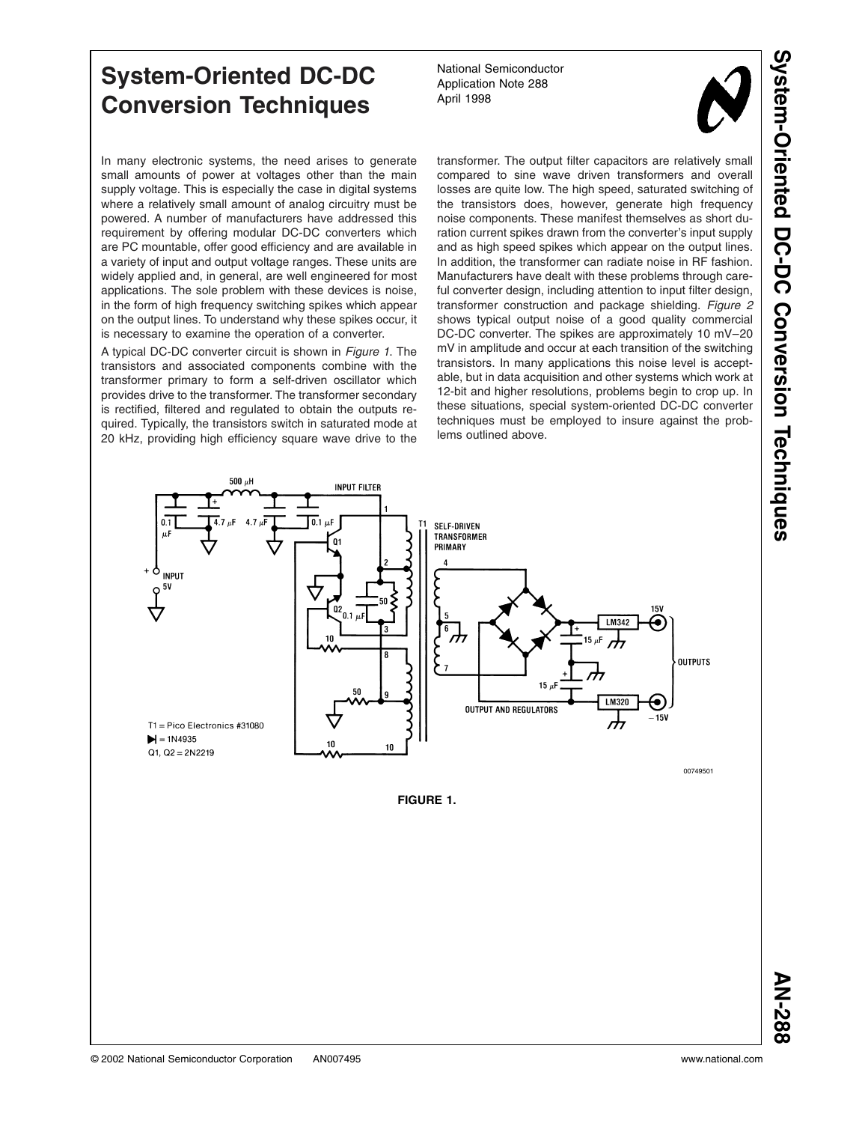# **System-Oriented DC-DC Conversion Techniques**

In many electronic systems, the need arises to generate small amounts of power at voltages other than the main supply voltage. This is especially the case in digital systems where a relatively small amount of analog circuitry must be powered. A number of manufacturers have addressed this requirement by offering modular DC-DC converters which are PC mountable, offer good efficiency and are available in a variety of input and output voltage ranges. These units are widely applied and, in general, are well engineered for most applications. The sole problem with these devices is noise, in the form of high frequency switching spikes which appear on the output lines. To understand why these spikes occur, it is necessary to examine the operation of a converter.

A typical DC-DC converter circuit is shown in *Figure 1*. The transistors and associated components combine with the transformer primary to form a self-driven oscillator which provides drive to the transformer. The transformer secondary is rectified, filtered and regulated to obtain the outputs required. Typically, the transistors switch in saturated mode at 20 kHz, providing high efficiency square wave drive to the

National Semiconductor Application Note 288 April 1998



transformer. The output filter capacitors are relatively small compared to sine wave driven transformers and overall losses are quite low. The high speed, saturated switching of the transistors does, however, generate high frequency noise components. These manifest themselves as short duration current spikes drawn from the converter's input supply and as high speed spikes which appear on the output lines. In addition, the transformer can radiate noise in RF fashion. Manufacturers have dealt with these problems through careful converter design, including attention to input filter design, transformer construction and package shielding. *[Figure 2](#page-1-0)* shows typical output noise of a good quality commercial DC-DC converter. The spikes are approximately 10 mV–20 mV in amplitude and occur at each transition of the switching transistors. In many applications this noise level is acceptable, but in data acquisition and other systems which work at 12-bit and higher resolutions, problems begin to crop up. In these situations, special system-oriented DC-DC converter techniques must be employed to insure against the problems outlined above.



**FIGURE 1.**

**AN-288**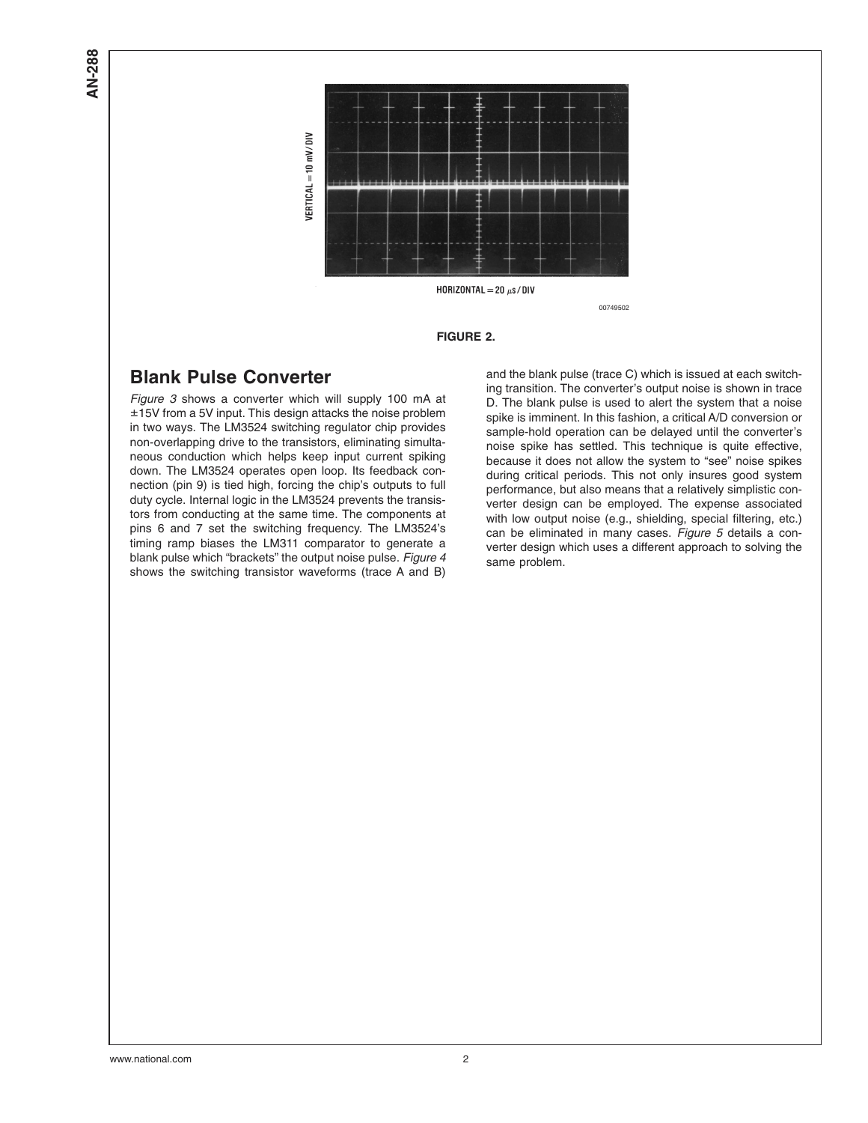<span id="page-1-0"></span>**AN-288**



00749502

#### **FIGURE 2.**

### **Blank Pulse Converter**

*[Figure 3](#page-2-0)* shows a converter which will supply 100 mA at ±15V from a 5V input. This design attacks the noise problem in two ways. The LM3524 switching regulator chip provides non-overlapping drive to the transistors, eliminating simultaneous conduction which helps keep input current spiking down. The LM3524 operates open loop. Its feedback connection (pin 9) is tied high, forcing the chip's outputs to full duty cycle. Internal logic in the LM3524 prevents the transistors from conducting at the same time. The components at pins 6 and 7 set the switching frequency. The LM3524's timing ramp biases the LM311 comparator to generate a blank pulse which "brackets" the output noise pulse. *[Figure 4](#page-2-0)* shows the switching transistor waveforms (trace A and B)

and the blank pulse (trace C) which is issued at each switching transition. The converter's output noise is shown in trace D. The blank pulse is used to alert the system that a noise spike is imminent. In this fashion, a critical A/D conversion or sample-hold operation can be delayed until the converter's noise spike has settled. This technique is quite effective, because it does not allow the system to "see" noise spikes during critical periods. This not only insures good system performance, but also means that a relatively simplistic converter design can be employed. The expense associated with low output noise (e.g., shielding, special filtering, etc.) can be eliminated in many cases. *[Figure 5](#page-3-0)* details a converter design which uses a different approach to solving the same problem.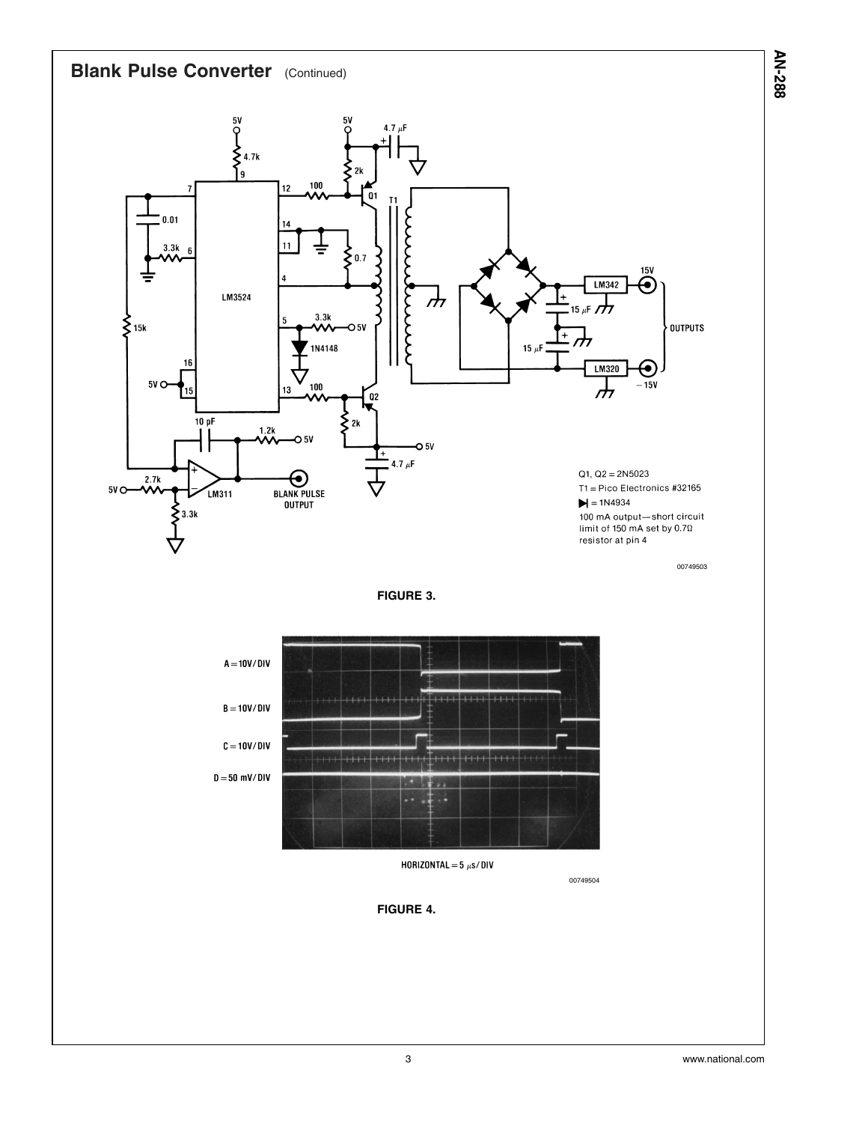<span id="page-2-0"></span>

**AN-288**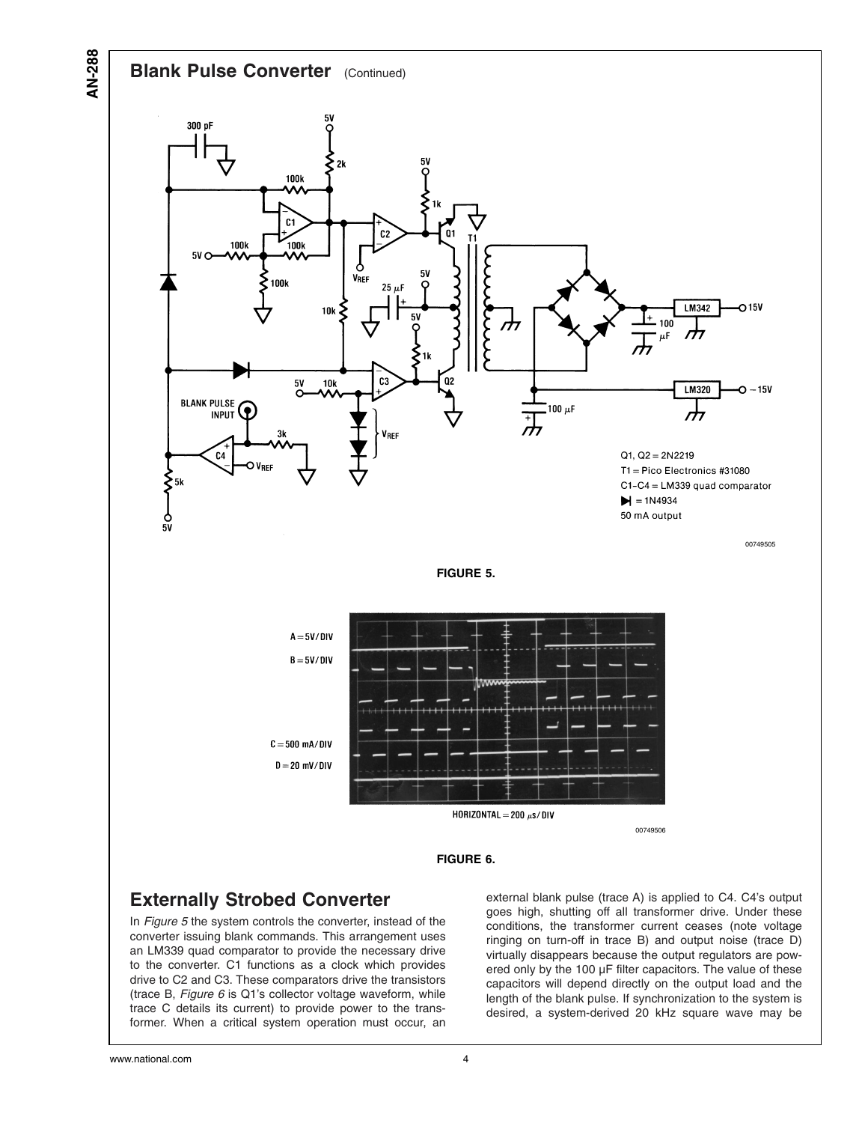

### **Externally Strobed Converter**

In *Figure 5* the system controls the converter, instead of the converter issuing blank commands. This arrangement uses an LM339 quad comparator to provide the necessary drive to the converter. C1 functions as a clock which provides drive to C2 and C3. These comparators drive the transistors (trace B, *Figure 6* is Q1's collector voltage waveform, while trace C details its current) to provide power to the transformer. When a critical system operation must occur, an external blank pulse (trace A) is applied to C4. C4's output goes high, shutting off all transformer drive. Under these conditions, the transformer current ceases (note voltage ringing on turn-off in trace B) and output noise (trace D) virtually disappears because the output regulators are powered only by the 100 µF filter capacitors. The value of these capacitors will depend directly on the output load and the length of the blank pulse. If synchronization to the system is desired, a system-derived 20 kHz square wave may be

<span id="page-3-0"></span>**AN-288**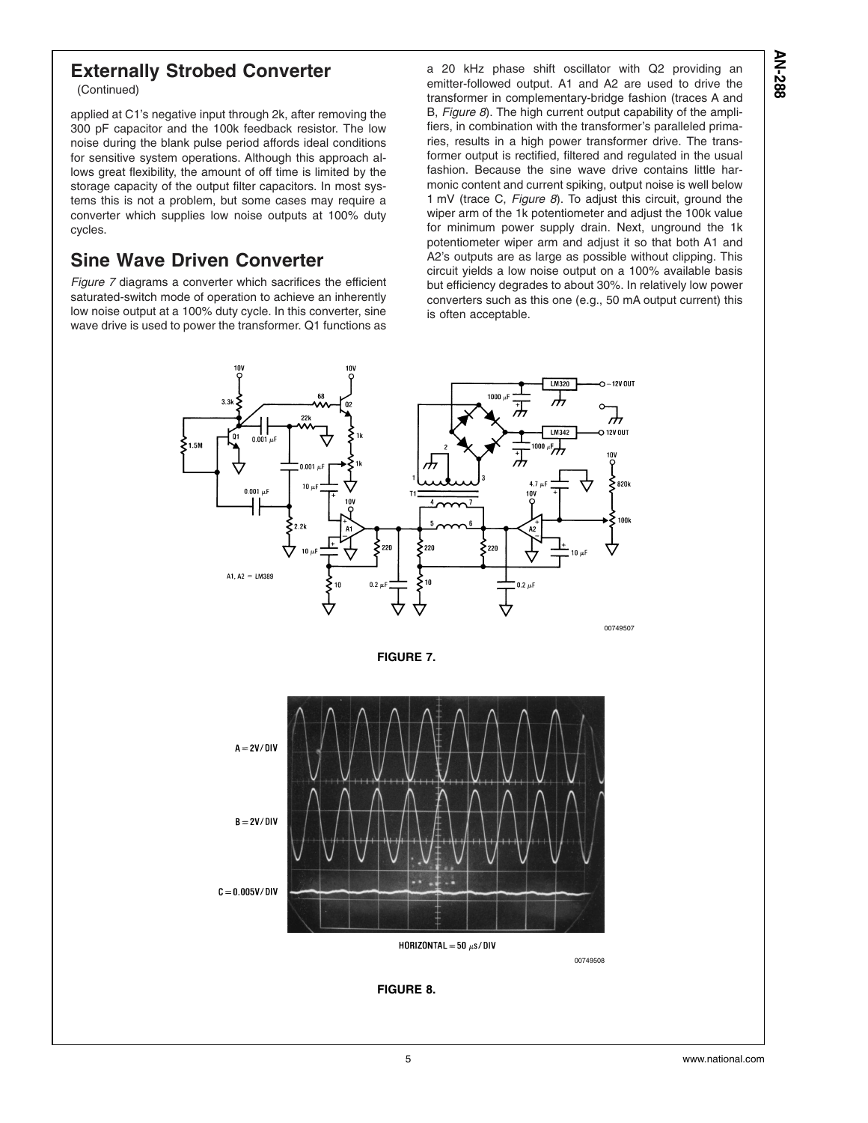## **Externally Strobed Converter**

(Continued)

applied at C1's negative input through 2k, after removing the 300 pF capacitor and the 100k feedback resistor. The low noise during the blank pulse period affords ideal conditions for sensitive system operations. Although this approach allows great flexibility, the amount of off time is limited by the storage capacity of the output filter capacitors. In most systems this is not a problem, but some cases may require a converter which supplies low noise outputs at 100% duty cycles.

## **Sine Wave Driven Converter**

*Figure 7* diagrams a converter which sacrifices the efficient saturated-switch mode of operation to achieve an inherently low noise output at a 100% duty cycle. In this converter, sine wave drive is used to power the transformer. Q1 functions as

a 20 kHz phase shift oscillator with Q2 providing an emitter-followed output. A1 and A2 are used to drive the transformer in complementary-bridge fashion (traces A and B, *Figure 8*). The high current output capability of the amplifiers, in combination with the transformer's paralleled primaries, results in a high power transformer drive. The transformer output is rectified, filtered and regulated in the usual fashion. Because the sine wave drive contains little harmonic content and current spiking, output noise is well below 1 mV (trace C, *Figure 8*). To adjust this circuit, ground the wiper arm of the 1k potentiometer and adjust the 100k value for minimum power supply drain. Next, unground the 1k potentiometer wiper arm and adjust it so that both A1 and A2's outputs are as large as possible without clipping. This circuit yields a low noise output on a 100% available basis but efficiency degrades to about 30%. In relatively low power converters such as this one (e.g., 50 mA output current) this is often acceptable.







**FIGURE 8.**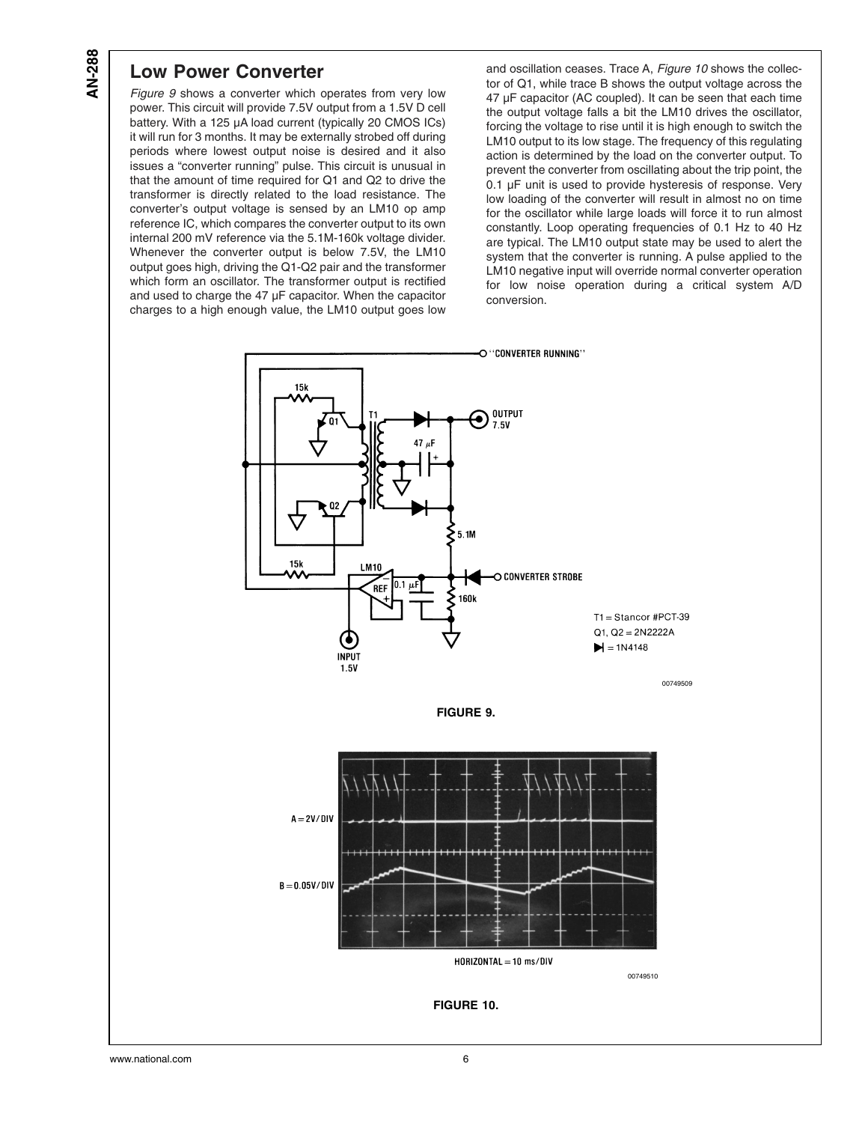### **Low Power Converter**

*Figure 9* shows a converter which operates from very low power. This circuit will provide 7.5V output from a 1.5V D cell battery. With a 125 µA load current (typically 20 CMOS ICs) it will run for 3 months. It may be externally strobed off during periods where lowest output noise is desired and it also issues a "converter running" pulse. This circuit is unusual in that the amount of time required for Q1 and Q2 to drive the transformer is directly related to the load resistance. The converter's output voltage is sensed by an LM10 op amp reference IC, which compares the converter output to its own internal 200 mV reference via the 5.1M-160k voltage divider. Whenever the converter output is below 7.5V, the LM10 output goes high, driving the Q1-Q2 pair and the transformer which form an oscillator. The transformer output is rectified and used to charge the 47 µF capacitor. When the capacitor charges to a high enough value, the LM10 output goes low

and oscillation ceases. Trace A, *Figure 10* shows the collector of Q1, while trace B shows the output voltage across the 47 µF capacitor (AC coupled). It can be seen that each time the output voltage falls a bit the LM10 drives the oscillator, forcing the voltage to rise until it is high enough to switch the LM10 output to its low stage. The frequency of this regulating action is determined by the load on the converter output. To prevent the converter from oscillating about the trip point, the 0.1 µF unit is used to provide hysteresis of response. Very low loading of the converter will result in almost no on time for the oscillator while large loads will force it to run almost constantly. Loop operating frequencies of 0.1 Hz to 40 Hz are typical. The LM10 output state may be used to alert the system that the converter is running. A pulse applied to the LM10 negative input will override normal converter operation for low noise operation during a critical system A/D conversion.